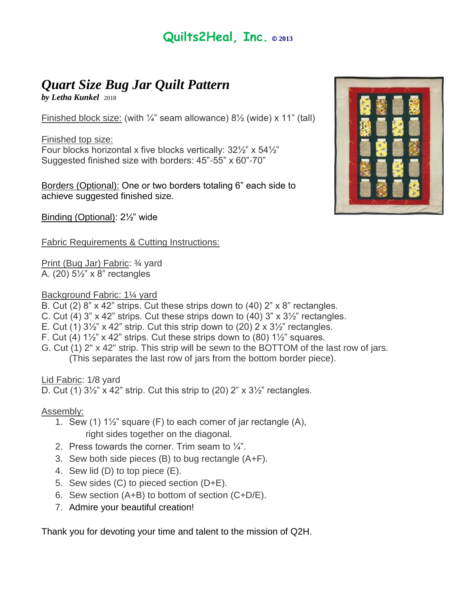## **Quilts2Heal, Inc. © <sup>2013</sup>**

## *Quart Size Bug Jar Quilt Pattern*

*by Letha Kunkel* 2018

Finished block size: (with  $\frac{1}{4}$ " seam allowance)  $\frac{8}{2}$  (wide) x 11" (tall)

Finished top size: Four blocks horizontal x five blocks vertically:  $32\frac{1}{2}$ " x  $54\frac{1}{2}$ " Suggested finished size with borders: 45"-55" x 60"-70"

Borders (Optional): One or two borders totaling 6" each side to achieve suggested finished size.

Binding (Optional): 2½" wide

Fabric Requirements & Cutting Instructions:

Print (Bug Jar) Fabric: ¾ yard A. (20) 5½" x 8" rectangles

Background Fabric: 1¼ yard

- B. Cut (2) 8" x 42" strips. Cut these strips down to (40) 2" x 8" rectangles.
- C. Cut (4) 3"  $\times$  42" strips. Cut these strips down to (40) 3"  $\times$  3 $\frac{1}{2}$ " rectangles.
- E. Cut (1)  $3\frac{1}{2}$ " x 42" strip. Cut this strip down to (20) 2 x  $3\frac{1}{2}$ " rectangles.
- F. Cut (4)  $1\frac{1}{2}$ " x 42" strips. Cut these strips down to (80)  $1\frac{1}{2}$ " squares.
- G. Cut (1) 2" x 42" strip. This strip will be sewn to the BOTTOM of the last row of jars. (This separates the last row of jars from the bottom border piece).

Lid Fabric: 1/8 yard

D. Cut (1)  $3\frac{1}{2}$ " x 42" strip. Cut this strip to (20) 2" x  $3\frac{1}{2}$ " rectangles.

Assembly:

- 1. Sew (1)  $1\frac{1}{2}$  square (F) to each corner of jar rectangle (A), right sides together on the diagonal.
- 2. Press towards the corner. Trim seam to  $\frac{1}{4}$ .
- 3. Sew both side pieces (B) to bug rectangle (A+F).
- 4. Sew lid (D) to top piece (E).
- 5. Sew sides (C) to pieced section (D+E).
- 6. Sew section (A+B) to bottom of section (C+D/E).
- 7. Admire your beautiful creation!

Thank you for devoting your time and talent to the mission of Q2H.